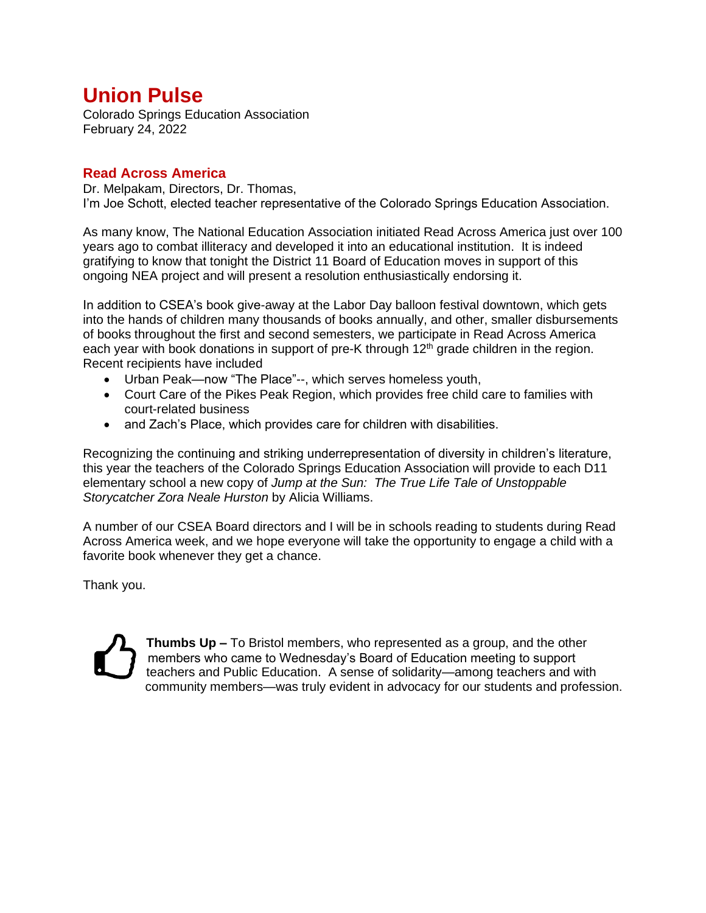# **Union Pulse**

Colorado Springs Education Association February 24, 2022

## **Read Across America**

Dr. Melpakam, Directors, Dr. Thomas, I'm Joe Schott, elected teacher representative of the Colorado Springs Education Association.

As many know, The National Education Association initiated Read Across America just over 100 years ago to combat illiteracy and developed it into an educational institution. It is indeed gratifying to know that tonight the District 11 Board of Education moves in support of this ongoing NEA project and will present a resolution enthusiastically endorsing it.

In addition to CSEA's book give-away at the Labor Day balloon festival downtown, which gets into the hands of children many thousands of books annually, and other, smaller disbursements of books throughout the first and second semesters, we participate in Read Across America each year with book donations in support of pre-K through  $12<sup>th</sup>$  grade children in the region. Recent recipients have included

- Urban Peak—now "The Place"--, which serves homeless youth,
- Court Care of the Pikes Peak Region, which provides free child care to families with court-related business
- and Zach's Place, which provides care for children with disabilities.

Recognizing the continuing and striking underrepresentation of diversity in children's literature, this year the teachers of the Colorado Springs Education Association will provide to each D11 elementary school a new copy of *Jump at the Sun: The True Life Tale of Unstoppable Storycatcher Zora Neale Hurston* by Alicia Williams.

A number of our CSEA Board directors and I will be in schools reading to students during Read Across America week, and we hope everyone will take the opportunity to engage a child with a favorite book whenever they get a chance.

Thank you.

**Thumbs Up –** To Bristol members, who represented as a group, and the other members who came to Wednesday's Board of Education meeting to support teachers and Public Education. A sense of solidarity—among teachers and with community members—was truly evident in advocacy for our students and profession.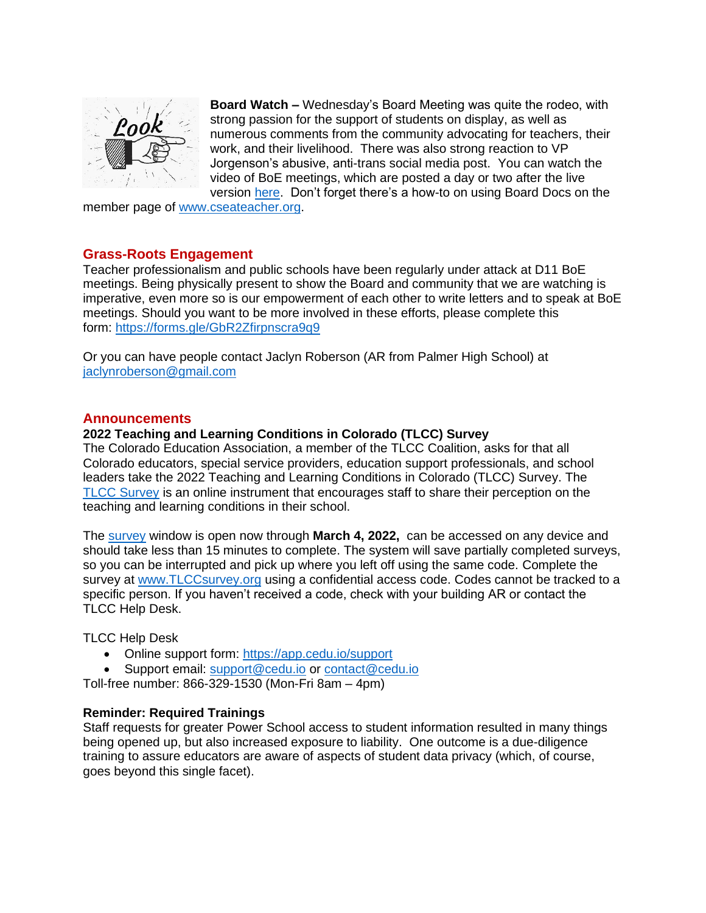

**Board Watch –** Wednesday's Board Meeting was quite the rodeo, with strong passion for the support of students on display, as well as numerous comments from the community advocating for teachers, their work, and their livelihood. There was also strong reaction to VP Jorgenson's abusive, anti-trans social media post. You can watch the video of BoE meetings, which are posted a day or two after the live version [here.](https://go.boarddocs.com/co/d11/Board.nsf/Public) Don't forget there's a how-to on using Board Docs on the

member page of [www.cseateacher.org.](http://www.cseateacher.org/)

## **Grass-Roots Engagement**

Teacher professionalism and public schools have been regularly under attack at D11 BoE meetings. Being physically present to show the Board and community that we are watching is imperative, even more so is our empowerment of each other to write letters and to speak at BoE meetings. Should you want to be more involved in these efforts, please complete this form: <https://forms.gle/GbR2Zfirpnscra9q9>

Or you can have people contact Jaclyn Roberson (AR from Palmer High School) at [jaclynroberson@gmail.com](mailto:jaclynroberson@gmail.com)

## **Announcements**

#### **2022 Teaching and Learning Conditions in Colorado (TLCC) Survey**

The Colorado Education Association, a member of the TLCC Coalition, asks for that all Colorado educators, special service providers, education support professionals, and school leaders take the 2022 Teaching and Learning Conditions in Colorado (TLCC) Survey. The [TLCC Survey](http://www.tlccsurvey.org/) is an online instrument that encourages staff to share their perception on the teaching and learning conditions in their school.

The [survey](http://www.tlccsurvey.org/) window is open now through **March 4, 2022,** can be accessed on any device and should take less than 15 minutes to complete. The system will save partially completed surveys, so you can be interrupted and pick up where you left off using the same code. Complete the survey at [www.TLCCsurvey.org](http://www.tlccsurvey.org/) using a confidential access code. Codes cannot be tracked to a specific person. If you haven't received a code, check with your building AR or contact the TLCC Help Desk.

TLCC Help Desk

- Online support form:<https://app.cedu.io/support>
- Support email: [support@cedu.io](mailto:support@cedu.io) or [contact@cedu.io](mailto:contact@cedu.io)

Toll-free number: 866-329-1530 (Mon-Fri 8am – 4pm)

#### **Reminder: Required Trainings**

Staff requests for greater Power School access to student information resulted in many things being opened up, but also increased exposure to liability. One outcome is a due-diligence training to assure educators are aware of aspects of student data privacy (which, of course, goes beyond this single facet).